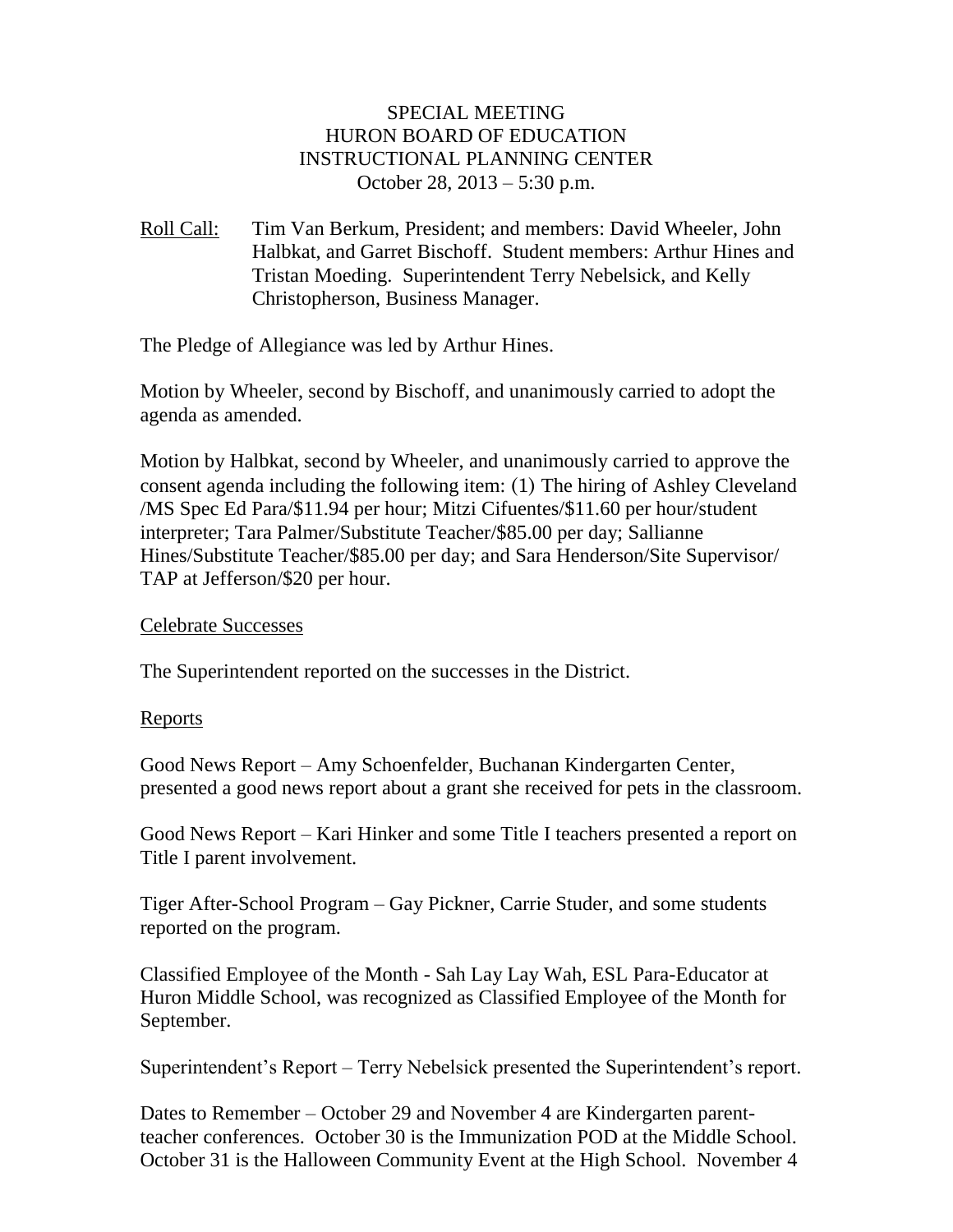### SPECIAL MEETING HURON BOARD OF EDUCATION INSTRUCTIONAL PLANNING CENTER October 28, 2013 – 5:30 p.m.

Roll Call: Tim Van Berkum, President; and members: David Wheeler, John Halbkat, and Garret Bischoff. Student members: Arthur Hines and Tristan Moeding. Superintendent Terry Nebelsick, and Kelly Christopherson, Business Manager.

The Pledge of Allegiance was led by Arthur Hines.

Motion by Wheeler, second by Bischoff, and unanimously carried to adopt the agenda as amended.

Motion by Halbkat, second by Wheeler, and unanimously carried to approve the consent agenda including the following item: (1) The hiring of Ashley Cleveland /MS Spec Ed Para/\$11.94 per hour; Mitzi Cifuentes/\$11.60 per hour/student interpreter; Tara Palmer/Substitute Teacher/\$85.00 per day; Sallianne Hines/Substitute Teacher/\$85.00 per day; and Sara Henderson/Site Supervisor/ TAP at Jefferson/\$20 per hour.

### Celebrate Successes

The Superintendent reported on the successes in the District.

#### Reports

Good News Report – Amy Schoenfelder, Buchanan Kindergarten Center, presented a good news report about a grant she received for pets in the classroom.

Good News Report – Kari Hinker and some Title I teachers presented a report on Title I parent involvement.

Tiger After-School Program – Gay Pickner, Carrie Studer, and some students reported on the program.

Classified Employee of the Month - Sah Lay Lay Wah, ESL Para-Educator at Huron Middle School, was recognized as Classified Employee of the Month for September.

Superintendent's Report – Terry Nebelsick presented the Superintendent's report.

Dates to Remember – October 29 and November 4 are Kindergarten parentteacher conferences. October 30 is the Immunization POD at the Middle School. October 31 is the Halloween Community Event at the High School. November 4